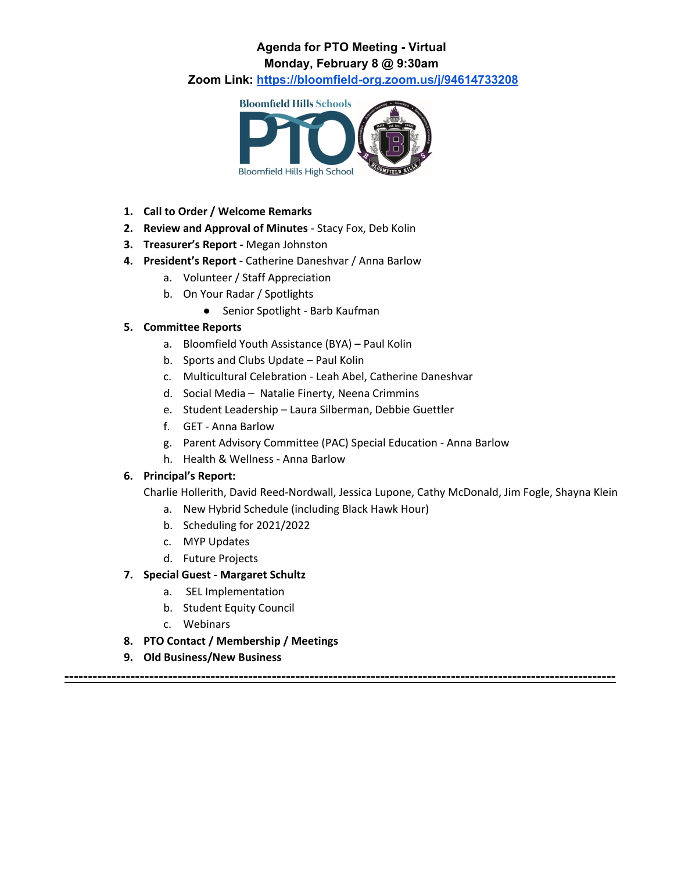### **Agenda for PTO Meeting - Virtual Monday, February 8 @ 9:30am**

**Zoom Link: <https://bloomfield-org.zoom.us/j/94614733208>**



- **1. Call to Order / Welcome Remarks**
- **2. Review and Approval of Minutes** Stacy Fox, Deb Kolin
- **3. Treasurer's Report -** Megan Johnston
- **4. President's Report -** Catherine Daneshvar / Anna Barlow
	- a. Volunteer / Staff Appreciation
	- b. On Your Radar / Spotlights
		- Senior Spotlight Barb Kaufman

#### **5. Committee Reports**

- a. Bloomfield Youth Assistance (BYA) Paul Kolin
- b. Sports and Clubs Update Paul Kolin
- c. Multicultural Celebration Leah Abel, Catherine Daneshvar
- d. Social Media Natalie Finerty, Neena Crimmins
- e. Student Leadership Laura Silberman, Debbie Guettler
- f. GET Anna Barlow
- g. Parent Advisory Committee (PAC) Special Education Anna Barlow
- h. Health & Wellness Anna Barlow

#### **6. Principal's Report:**

Charlie Hollerith, David Reed-Nordwall, Jessica Lupone, Cathy McDonald, Jim Fogle, Shayna Klein

- a. New Hybrid Schedule (including Black Hawk Hour)
- b. Scheduling for 2021/2022
- c. MYP Updates
- d. Future Projects

#### **7. Special Guest - Margaret Schultz**

- a. SEL Implementation
- b. Student Equity Council
- c. Webinars
- **8. PTO Contact / Membership / Meetings**
- **9. Old Business/New Business**

**---------------------------------------------------------------------------------------------------------------------**